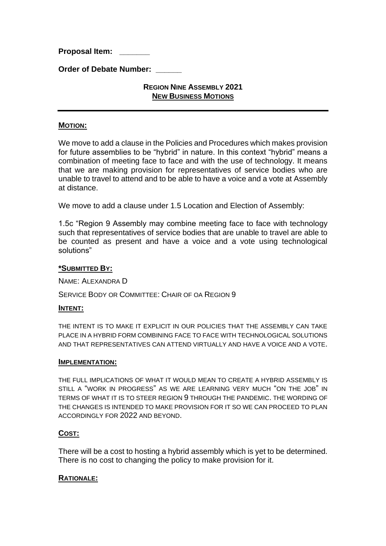**Proposal Item: \_\_\_\_\_\_\_** 

**Order of Debate Number:** 

# **REGION NINE ASSEMBLY 2021 NEW BUSINESS MOTIONS**

### **MOTION:**

We move to add a clause in the Policies and Procedures which makes provision for future assemblies to be "hybrid" in nature. In this context "hybrid" means a combination of meeting face to face and with the use of technology. It means that we are making provision for representatives of service bodies who are unable to travel to attend and to be able to have a voice and a vote at Assembly at distance.

We move to add a clause under 1.5 Location and Election of Assembly:

1.5c "Region 9 Assembly may combine meeting face to face with technology such that representatives of service bodies that are unable to travel are able to be counted as present and have a voice and a vote using technological solutions"

### **\*SUBMITTED BY:**

NAME: ALEXANDRA D

SERVICE BODY OR COMMITTEE: CHAIR OF OA REGION 9

### **INTENT:**

THE INTENT IS TO MAKE IT EXPLICIT IN OUR POLICIES THAT THE ASSEMBLY CAN TAKE PLACE IN A HYBRID FORM COMBINING FACE TO FACE WITH TECHNOLOGICAL SOLUTIONS AND THAT REPRESENTATIVES CAN ATTEND VIRTUALLY AND HAVE A VOICE AND A VOTE.

### **IMPLEMENTATION:**

THE FULL IMPLICATIONS OF WHAT IT WOULD MEAN TO CREATE A HYBRID ASSEMBLY IS STILL A "WORK IN PROGRESS" AS WE ARE LEARNING VERY MUCH "ON THE JOB" IN TERMS OF WHAT IT IS TO STEER REGION 9 THROUGH THE PANDEMIC. THE WORDING OF THE CHANGES IS INTENDED TO MAKE PROVISION FOR IT SO WE CAN PROCEED TO PLAN ACCORDINGLY FOR 2022 AND BEYOND.

# **COST:**

There will be a cost to hosting a hybrid assembly which is yet to be determined. There is no cost to changing the policy to make provision for it.

### **RATIONALE:**